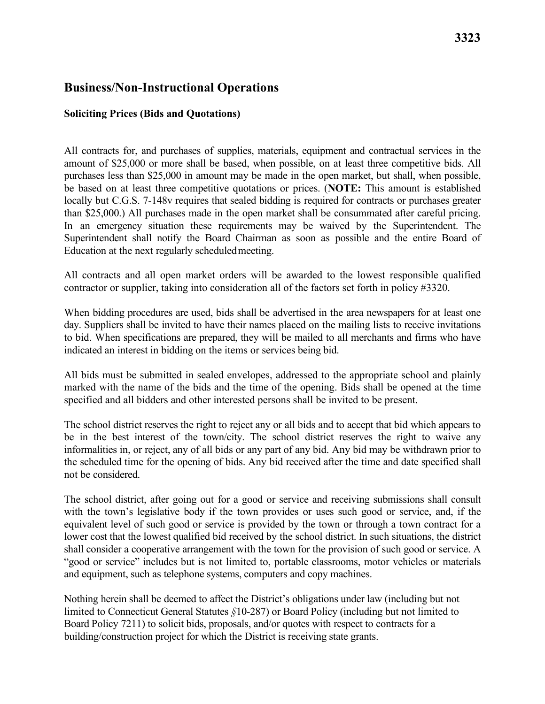## **Business/Non-Instructional Operations**

## **Soliciting Prices (Bids and Quotations)**

 All contracts for, and purchases of supplies, materials, equipment and contractual services in the amount of \$25,000 or more shall be based, when possible, on at least three competitive bids. All In an emergency situation these requirements may be waived by the Superintendent. The Superintendent shall notify the Board Chairman as soon as possible and the entire Board of Education at the next regularly scheduledmeeting. purchases less than \$25,000 in amount may be made in the open market, but shall, when possible, be based on at least three competitive quotations or prices. (**NOTE:** This amount is established locally but C.G.S. 7-148v requires that sealed bidding is required for contracts or purchases greater than \$25,000.) All purchases made in the open market shall be consummated after careful pricing.

All contracts and all open market orders will be awarded to the lowest responsible qualified contractor or supplier, taking into consideration all of the factors set forth in policy #3320.

 day. Suppliers shall be invited to have their names placed on the mailing lists to receive invitations When bidding procedures are used, bids shall be advertised in the area newspapers for at least one to bid. When specifications are prepared, they will be mailed to all merchants and firms who have indicated an interest in bidding on the items or services being bid.

All bids must be submitted in sealed envelopes, addressed to the appropriate school and plainly marked with the name of the bids and the time of the opening. Bids shall be opened at the time specified and all bidders and other interested persons shall be invited to be present.

 the scheduled time for the opening of bids. Any bid received after the time and date specified shall not be considered. The school district reserves the right to reject any or all bids and to accept that bid which appears to be in the best interest of the town/city. The school district reserves the right to waive any informalities in, or reject, any of all bids or any part of any bid. Any bid may be withdrawn prior to

 with the town's legislative body if the town provides or uses such good or service, and, if the "good or service" includes but is not limited to, portable classrooms, motor vehicles or materials The school district, after going out for a good or service and receiving submissions shall consult equivalent level of such good or service is provided by the town or through a town contract for a lower cost that the lowest qualified bid received by the school district. In such situations, the district shall consider a cooperative arrangement with the town for the provision of such good or service. A and equipment, such as telephone systems, computers and copy machines.

 limited to Connecticut General Statutes *§*10-287) or Board Policy (including but not limited to Nothing herein shall be deemed to affect the District's obligations under law (including but not Board Policy 7211) to solicit bids, proposals, and/or quotes with respect to contracts for a building/construction project for which the District is receiving state grants.